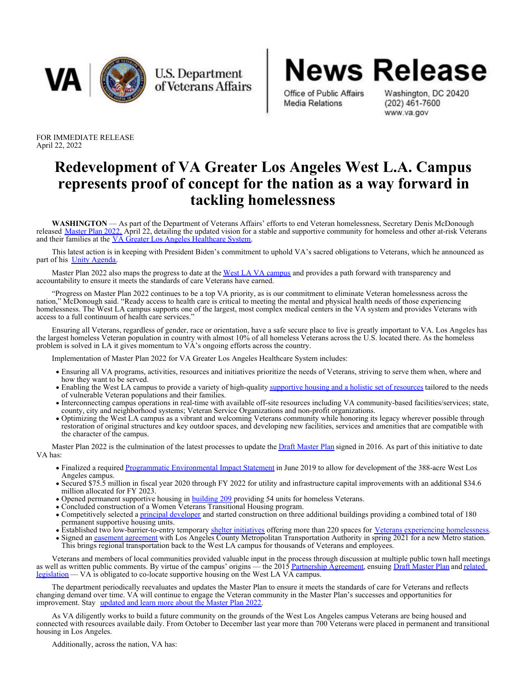

U.S. Department of Veterans Affairs

Office of Public Affairs Washington, DC 20420<br>Media Relations (202) 461-7600

www.va.gov

**News Release** 

FOR IMMEDIATE RELEASE April 22, 2022

## **Redevelopment of VA Greater Los Angeles West L.A. Campus represents proof of concept for the nation as a way forward in tackling homelessness**

**WASHINGTON** — As part of the Department of Veterans Affairs' efforts to end Veteran homelessness, Secretary Denis McDonough released [Master Plan 2022,](https://gcc02.safelinks.protection.outlook.com/?url=https%3A%2F%2Fdraft-master-plan-assets.s3.amazonaws.com%2Fmedia%2Fuploads%2F2022%2F04%2F12%2F2022-03-18_WLA-VA-Master-Plan-Signed.pdf&data=05%7C01%7C%7Cb6aa914fd30540d25c0b08da2471fa52%7Ce95f1b23abaf45ee821db7ab251ab3bf%7C0%7C0%7C637862369195474109%7CUnknown%7CTWFpbGZsb3d8eyJWIjoiMC4wLjAwMDAiLCJQIjoiV2luMzIiLCJBTiI6Ik1haWwiLCJXVCI6Mn0%3D%7C3000%7C%7C%7C&sdata=LWE6hJtNKjkVsVTK%2Bo3GnLkTGeijk7bh6CH7Op13EEQ%3D&reserved=0) April 22, detailing the updated vision for a stable and supportive community for homeless and other at-risk Veterans and their families at the [VA Greater Los Angeles Healthcare System](https://gcc02.safelinks.protection.outlook.com/?url=https%3A%2F%2Fwww.va.gov%2Fgreater-los-angeles-health-care%2F&data=05%7C01%7C%7Cb6aa914fd30540d25c0b08da2471fa52%7Ce95f1b23abaf45ee821db7ab251ab3bf%7C0%7C0%7C637862369195630334%7CUnknown%7CTWFpbGZsb3d8eyJWIjoiMC4wLjAwMDAiLCJQIjoiV2luMzIiLCJBTiI6Ik1haWwiLCJXVCI6Mn0%3D%7C3000%7C%7C%7C&sdata=NdA1wdrqvLW8URTMmZEtA7WWNJStEDTRAuWjSsNdGEE%3D&reserved=0).

This latest action is in keeping with President Biden's commitment to uphold VA's sacred obligations to Veterans, which he announced as part of his [Unity Agenda](https://gcc02.safelinks.protection.outlook.com/?url=https%3A%2F%2Fwww.whitehouse.gov%2Fomb%2Fbriefing-room%2F2022%2F03%2F28%2Ffact-sheet-president-bidens-budget-advances-a-bipartisan-unity-agenda%2F&data=05%7C01%7C%7Cc3ee88fde5df4fe28deb08da246a382b%7Ce95f1b23abaf45ee821db7ab251ab3bf%7C0%7C0%7C637862335876713603%7CUnknown%7CTWFpbGZsb3d8eyJWIjoiMC4wLjAwMDAiLCJQIjoiV2luMzIiLCJBTiI6Ik1haWwiLCJXVCI6Mn0%3D%7C3000%7C%7C%7C&sdata=JJXStfW0X5AtOTlo3U65PoAmJr1EzPM5VrUmUh14erc%3D&reserved=0).

Master Plan 2022 also maps the progress to date at the [West LA VA campus](https://gcc02.safelinks.protection.outlook.com/?url=https%3A%2F%2Fwww.va.gov%2Fgreater-los-angeles-health-care%2Flocations%2Fwest-los-angeles-va-medical-center%2F&data=05%7C01%7C%7Cc3ee88fde5df4fe28deb08da246a382b%7Ce95f1b23abaf45ee821db7ab251ab3bf%7C0%7C0%7C637862335876713603%7CUnknown%7CTWFpbGZsb3d8eyJWIjoiMC4wLjAwMDAiLCJQIjoiV2luMzIiLCJBTiI6Ik1haWwiLCJXVCI6Mn0%3D%7C3000%7C%7C%7C&sdata=vnCi%2Fv8sDRiuS9%2FUE89Mnx7fmKBcGBwUaWUmQMzCp9Y%3D&reserved=0) and provides a path forward with transparency and accountability to ensure it meets the standards of care Veterans have earned.

"Progress on Master Plan 2022 continues to be a top VA priority, as is our commitment to eliminate Veteran homelessness across the nation," McDonough said. "Ready access to health care is critical to meeting the mental and physical health needs of those experiencing homelessness. The West LA campus supports one of the largest, most complex medical centers in the VA system and provides Veterans with access to a full continuum of health care services."

Ensuring all Veterans, regardless of gender, race or orientation, have a safe secure place to live is greatly important to VA. Los Angeles has the largest homeless Veteran population in country with almost 10% of all homeless Veterans across the U.S. located there. As the homeless problem is solved in LA it gives momentum to VA's ongoing efforts across the country.

Implementation of Master Plan 2022 for VA Greater Los Angeles Healthcare System includes:

- Ensuring all VA programs, activities, resources and initiatives prioritize the needs of Veterans, striving to serve them when, where and how they want to be served.
- Enabling the West LA campus to provide a variety of high-quality [supportive housing and a holistic set of resources](https://gcc02.safelinks.protection.outlook.com/?url=https%3A%2F%2Fwww.va.gov%2Fhomeless%2Fhud-vash.asp&data=05%7C01%7C%7Cc3ee88fde5df4fe28deb08da246a382b%7Ce95f1b23abaf45ee821db7ab251ab3bf%7C0%7C0%7C637862335876713603%7CUnknown%7CTWFpbGZsb3d8eyJWIjoiMC4wLjAwMDAiLCJQIjoiV2luMzIiLCJBTiI6Ik1haWwiLCJXVCI6Mn0%3D%7C3000%7C%7C%7C&sdata=xfLSq8po3iTZS4qm2lljzkaBJSKCAZZEithpQwjw6VA%3D&reserved=0) tailored to the needs of vulnerable Veteran populations and their families.
- Interconnecting campus operations in real-time with available off-site resources including VA community-based facilities/services; state, county, city and neighborhood systems; Veteran Service Organizations and non-profit organizations.
- Optimizing the West LA campus as a vibrant and welcoming Veterans community while honoring its legacy wherever possible through restoration of original structures and key outdoor spaces, and developing new facilities, services and amenities that are compatible with the character of the campus.

Master Plan 2022 is the culmination of the latest processes to update the [Draft Master Plan](https://gcc02.safelinks.protection.outlook.com/?url=https%3A%2F%2Fwww.westladraftmasterplan.org%2Fdocumentation%2Fdraft-master-plan&data=05%7C01%7C%7Cc3ee88fde5df4fe28deb08da246a382b%7Ce95f1b23abaf45ee821db7ab251ab3bf%7C0%7C0%7C637862335876713603%7CUnknown%7CTWFpbGZsb3d8eyJWIjoiMC4wLjAwMDAiLCJQIjoiV2luMzIiLCJBTiI6Ik1haWwiLCJXVCI6Mn0%3D%7C3000%7C%7C%7C&sdata=eEjXOOPKR4%2BSSvwfA0YzAiwNiY1vzhc0Lwu0S%2B3XUwU%3D&reserved=0) signed in 2016. As part of this initiative to date VA has:

- Finalized a required [Programmatic Environmental Impact Statement](https://gcc02.safelinks.protection.outlook.com/?url=https%3A%2F%2Fwww.westladraftmasterplan.org%2Fdocumentation%2Fnepa-and-nhpa&data=05%7C01%7C%7Cc3ee88fde5df4fe28deb08da246a382b%7Ce95f1b23abaf45ee821db7ab251ab3bf%7C0%7C0%7C637862335876713603%7CUnknown%7CTWFpbGZsb3d8eyJWIjoiMC4wLjAwMDAiLCJQIjoiV2luMzIiLCJBTiI6Ik1haWwiLCJXVCI6Mn0%3D%7C3000%7C%7C%7C&sdata=WiSoBaY7cEc7GrNjhcLHUm1x4819IBdKrtJlVkDkIm0%3D&reserved=0) in June 2019 to allow for development of the 388-acre West Los Angeles campus.
- Secured \$75.5 million in fiscal year 2020 through FY 2022 for utility and infrastructure capital improvements with an additional \$34.6 million allocated for FY 2023.
- Opened permanent supportive housing in **[building 209](https://gcc02.safelinks.protection.outlook.com/?url=https%3A%2F%2Fwww.shangrilaconstruction.com%2Fprojects%2Fstep-up-on-normandie-6f3z4-tnatk-a9azc&data=05%7C01%7C%7Cc3ee88fde5df4fe28deb08da246a382b%7Ce95f1b23abaf45ee821db7ab251ab3bf%7C0%7C0%7C637862335876713603%7CUnknown%7CTWFpbGZsb3d8eyJWIjoiMC4wLjAwMDAiLCJQIjoiV2luMzIiLCJBTiI6Ik1haWwiLCJXVCI6Mn0%3D%7C3000%7C%7C%7C&sdata=CytzG2MmEw%2BL4McFyKs%2Foj%2BsI2btZr2VHRtbc%2B%2BAWVo%3D&reserved=0)** providing 54 units for homeless Veterans.
- Concluded construction of a Women Veterans Transitional Housing program.
- Competitively selected a [principal developer](https://gcc02.safelinks.protection.outlook.com/?url=http%3A%2F%2Fwlavc.org%2F&data=05%7C01%7C%7Cc3ee88fde5df4fe28deb08da246a382b%7Ce95f1b23abaf45ee821db7ab251ab3bf%7C0%7C0%7C637862335876869391%7CUnknown%7CTWFpbGZsb3d8eyJWIjoiMC4wLjAwMDAiLCJQIjoiV2luMzIiLCJBTiI6Ik1haWwiLCJXVCI6Mn0%3D%7C3000%7C%7C%7C&sdata=Cyj8oRPAgyGNX%2BhP19f4mObfgrZl9B4QbGczFo4FyOg%3D&reserved=0) and started construction on three additional buildings providing a combined total of 180 permanent supportive housing units.
- Established two low-barrier-to-entry temporary [shelter initiatives](https://gcc02.safelinks.protection.outlook.com/?url=https%3A%2F%2Fwww.va.gov%2Fgreater-los-angeles-health-care%2Fnews-releases%2Fgreater-los-angeles-va-offers-services-for-veterans-experiencing-homelessness%2F&data=05%7C01%7C%7Cc3ee88fde5df4fe28deb08da246a382b%7Ce95f1b23abaf45ee821db7ab251ab3bf%7C0%7C0%7C637862335876869391%7CUnknown%7CTWFpbGZsb3d8eyJWIjoiMC4wLjAwMDAiLCJQIjoiV2luMzIiLCJBTiI6Ik1haWwiLCJXVCI6Mn0%3D%7C3000%7C%7C%7C&sdata=cpZafcUKUi0H29aWgx8p7hvidaRwwRdk0wl3PW892fo%3D&reserved=0) offering more than 220 spaces for [Veterans experiencing homelessness](https://gcc02.safelinks.protection.outlook.com/?url=https%3A%2F%2Fwww.va.gov%2Fgreater-los-angeles-health-care%2Fnews-releases%2Flos-angeles-va-works-with-homeless-veterans-at-san-vicente-encampment-connects-them-to-housing-options%2F&data=05%7C01%7C%7Cc3ee88fde5df4fe28deb08da246a382b%7Ce95f1b23abaf45ee821db7ab251ab3bf%7C0%7C0%7C637862335876869391%7CUnknown%7CTWFpbGZsb3d8eyJWIjoiMC4wLjAwMDAiLCJQIjoiV2luMzIiLCJBTiI6Ik1haWwiLCJXVCI6Mn0%3D%7C3000%7C%7C%7C&sdata=DBY8YIFA0QSr%2BtuR7OsJi8zkXMFOMRLQVS2ah5nKYVs%3D&reserved=0).
- Signed an [easement agreement](https://gcc02.safelinks.protection.outlook.com/?url=https%3A%2F%2Fwww.va.gov%2FFOIA%2Fdocs%2FUpdated_Documents%2FVHA%2FMetro_Easement_May_2021.pdf&data=05%7C01%7C%7Cc3ee88fde5df4fe28deb08da246a382b%7Ce95f1b23abaf45ee821db7ab251ab3bf%7C0%7C0%7C637862335876869391%7CUnknown%7CTWFpbGZsb3d8eyJWIjoiMC4wLjAwMDAiLCJQIjoiV2luMzIiLCJBTiI6Ik1haWwiLCJXVCI6Mn0%3D%7C3000%7C%7C%7C&sdata=dJuAetTMM9WaU2zAnUxpF%2BcDxwOVpVzVHxNrE80MeeI%3D&reserved=0) with Los Angeles County Metropolitan Transportation Authority in spring 2021 for a new Metro station. This brings regional transportation back to the West LA campus for thousands of Veterans and employees.

Veterans and members of local communities provided valuable input in the process through discussion at multiple public town hall meetings as well as written public comments. By virtue of the campus' origins — the 2015 [Partnership Agreement](https://gcc02.safelinks.protection.outlook.com/?url=https%3A%2F%2Fdraft-master-plan-assets.s3.amazonaws.com%2Fmedia%2Fuploads%2F2018%2F08%2F03%2FPrinciples_for_a_Partnership_and_Framework_for_Settlement_01282015.pdf&data=05%7C01%7C%7Cc3ee88fde5df4fe28deb08da246a382b%7Ce95f1b23abaf45ee821db7ab251ab3bf%7C0%7C0%7C637862335876869391%7CUnknown%7CTWFpbGZsb3d8eyJWIjoiMC4wLjAwMDAiLCJQIjoiV2luMzIiLCJBTiI6Ik1haWwiLCJXVCI6Mn0%3D%7C3000%7C%7C%7C&sdata=6K6ihUkOJcVtaSEw58JWasA8Ftw73dLKkABphzYgBoY%3D&reserved=0), ensuing [Draft Master Plan](https://gcc02.safelinks.protection.outlook.com/?url=https%3A%2F%2Fwww.westladraftmasterplan.org%2Fdocumentation%2Fdraft-master-plan&data=05%7C01%7C%7Cc3ee88fde5df4fe28deb08da246a382b%7Ce95f1b23abaf45ee821db7ab251ab3bf%7C0%7C0%7C637862335876869391%7CUnknown%7CTWFpbGZsb3d8eyJWIjoiMC4wLjAwMDAiLCJQIjoiV2luMzIiLCJBTiI6Ik1haWwiLCJXVCI6Mn0%3D%7C3000%7C%7C%7C&sdata=W5FARrqQBeVXJQS8S9f801IekQcFEVOMs6muPn099WA%3D&reserved=0) and [related](https://gcc02.safelinks.protection.outlook.com/?url=https%3A%2F%2Fdraft-master-plan-assets.s3.amazonaws.com%2Fmedia%2Fuploads%2F2018%2F08%2F03%2FPLAW-114publ226.pdf&data=05%7C01%7C%7Cc3ee88fde5df4fe28deb08da246a382b%7Ce95f1b23abaf45ee821db7ab251ab3bf%7C0%7C0%7C637862335876869391%7CUnknown%7CTWFpbGZsb3d8eyJWIjoiMC4wLjAwMDAiLCJQIjoiV2luMzIiLCJBTiI6Ik1haWwiLCJXVCI6Mn0%3D%7C3000%7C%7C%7C&sdata=VU1Boy1ao8KZlUk3HHBsdexi0HYTCI%2BTd94n%2BmxkeUY%3D&reserved=0) [legislation](https://gcc02.safelinks.protection.outlook.com/?url=https%3A%2F%2Fdraft-master-plan-assets.s3.amazonaws.com%2Fmedia%2Fuploads%2F2018%2F08%2F03%2FPLAW-114publ226.pdf&data=05%7C01%7C%7Cc3ee88fde5df4fe28deb08da246a382b%7Ce95f1b23abaf45ee821db7ab251ab3bf%7C0%7C0%7C637862335876869391%7CUnknown%7CTWFpbGZsb3d8eyJWIjoiMC4wLjAwMDAiLCJQIjoiV2luMzIiLCJBTiI6Ik1haWwiLCJXVCI6Mn0%3D%7C3000%7C%7C%7C&sdata=VU1Boy1ao8KZlUk3HHBsdexi0HYTCI%2BTd94n%2BmxkeUY%3D&reserved=0) — VA is obligated to co-locate supportive housing on the West LA VA campus.

The department periodically reevaluates and updates the Master Plan to ensure it meets the standards of care for Veterans and reflects changing demand over time. VA will continue to engage the Veteran community in the Master Plan's successes and opportunities for improvement. Stay [updated and learn more about the Master Plan 2022](https://gcc02.safelinks.protection.outlook.com/?url=https%3A%2F%2Fwww.westlamasterplan.org%2F&data=05%7C01%7C%7Cc3ee88fde5df4fe28deb08da246a382b%7Ce95f1b23abaf45ee821db7ab251ab3bf%7C0%7C0%7C637862335876869391%7CUnknown%7CTWFpbGZsb3d8eyJWIjoiMC4wLjAwMDAiLCJQIjoiV2luMzIiLCJBTiI6Ik1haWwiLCJXVCI6Mn0%3D%7C3000%7C%7C%7C&sdata=jdGzxT07Trbwq61t6j1ogkJTxgZTdHokuVP%2BEhf5sVM%3D&reserved=0).

As VA diligently works to build a future community on the grounds of the West Los Angeles campus Veterans are being housed and connected with resources available daily. From October to December last year more than 700 Veterans were placed in permanent and transitional housing in Los Angeles.

Additionally, across the nation, VA has: